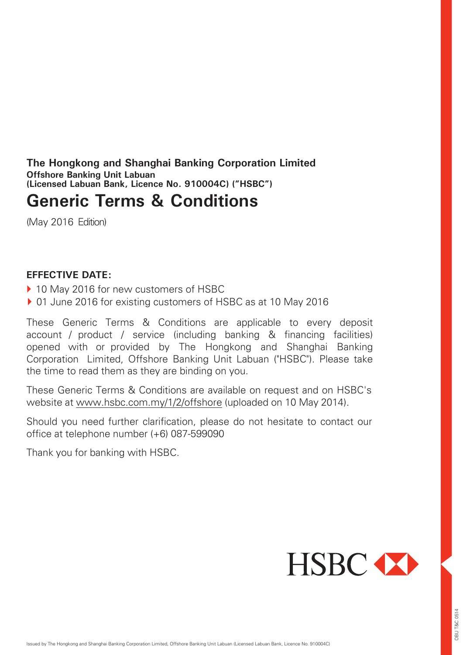<span id="page-0-0"></span>**The Hongkong and Shanghai Banking Corporation Limited Offshore Banking Unit Labuan (Licensed Labuan Bank, Licence No. 910004C) ("HSBC")**

# **Generic Terms & Conditions**

(May 2016 Edition)

### **EFFECTIVE DATE:**

- ▶ 10 May 2016 for new customers of HSBC
- ▶ 01 June 2016 for existing customers of HSBC as at 10 May 2016

These Generic Terms & Conditions are applicable to every deposit account / product / service (including banking & financing facilities) opened with or provided by The Hongkong and Shanghai Banking Corporation Limited, Offshore Banking Unit Labuan ("HSBC"). Please take the time to read them as they are binding on you.

These Generic Terms & Conditions are available on request and on HSBC's website at [www.hsbc.com.my/1/2/offshore](http://www.hsbc.com.my/1/2/offshore) (uploaded on 10 May 2014).

Should you need further clarification, please do not hesitate to contact our office at telephone number (+6) 087-599090

Thank you for banking with HSBC.

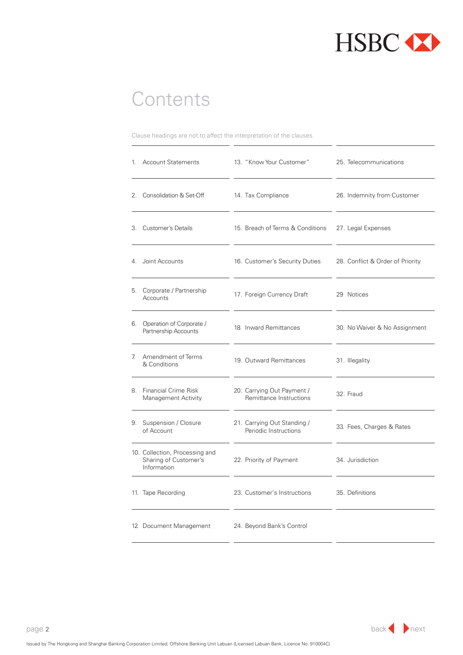

# <span id="page-1-0"></span>**Contents**

Clause headings are not to affect the interpretation of the clauses.

|    | 1. Account Statements                                                  | 13. "Know Your Customer"                              | 25. Telecommunications           |
|----|------------------------------------------------------------------------|-------------------------------------------------------|----------------------------------|
|    | 2. Consolidation & Set-Off                                             | 14. Tax Compliance                                    | 26. Indemnity from Customer      |
|    | 3. Customer's Details                                                  | 15. Breach of Terms & Conditions                      | 27. Legal Expenses               |
|    | 4. Joint Accounts                                                      | 16. Customer's Security Duties                        | 28. Conflict & Order of Priority |
|    | 5. Corporate / Partnership<br>Accounts                                 | 17. Foreign Currency Draft                            | 29 Notices                       |
|    | 6. Operation of Corporate /<br>Partnership Accounts                    | 18 Inward Remittances                                 | 30. No Waiver & No Assignment    |
| 7. | Amendment of Terms<br>& Conditions                                     | 19. Outward Remittances                               | 31. Illegality                   |
|    | 8. Financial Crime Risk<br><b>Management Activity</b>                  | 20. Carrying Out Payment /<br>Remittance Instructions | 32. Fraud                        |
|    | 9. Suspension / Closure<br>of Account                                  | 21. Carrying Out Standing /<br>Periodic Instructions  | 33. Fees, Charges & Rates        |
|    | 10. Collection, Processing and<br>Sharing of Customer's<br>Information | 22. Priority of Payment                               | 34. Jurisdiction                 |
|    | 11. Tape Recording                                                     | 23. Customer's Instructions                           | 35. Definitions                  |
|    | 12. Document Management                                                | 24. Beyond Bank's Control                             |                                  |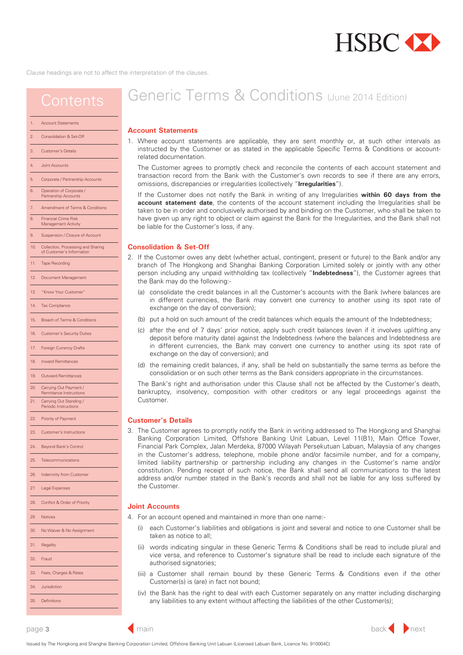# **HSBC**

<span id="page-2-0"></span>Clause headings are not to affect the interpretation of the clauses.

### The Customer agrees to promptly check and reconcile the contents of each account statement and transaction record from the Bank with the Customer's own records to see if there are any errors, omissions, discrepancies or irregularities (collectively "**Irregularities**"). Generic Terms & Conditions (UEdition) 1. Where account statements are applicable, they are sent monthly or, at such other intervals as instructed by the Customer or as stated in the applicable Specific Terms & Conditions or accountrelated documentation. **Contents**

If the Customer does not notify the Bank in writing of any Irregularities **within 60 days from the account statement date**, the contents of the account statement including the Irregularities shall be taken to be in order and conclusively authorised by and binding on the Customer, who shall be taken to have given up any right to object or claim against the Bank for the Irregularities, and the Bank shall not be liable for the Customer's loss, if any.

- 2. If the Customer owes any debt (whether actual, contingent, present or future) to the Bank and/or any branch of The Hongkong and Shanghai Banking Corporation Limited solely or jointly with any other person including any unpaid withholding tax (collectively "**Indebtedness**"), the Customer agrees that the Bank may do the following:-
	- (a) consolidate the credit balances in all the Customer's accounts with the Bank (where balances are in different currencies, the Bank may convert one currency to another using its spot rate of exchange on the day of conversion);
	- (b) put a hold on such amount of the credit balances which equals the amount of the Indebtedness;
	- (c) after the end of 7 days' prior notice, apply such credit balances (even if it involves uplifting any deposit before maturity date) against the Indebtedness (where the balances and Indebtedness are in different currencies, the Bank may convert one currency to another using its spot rate of exchange on the day of conversion); and
	- (d) the remaining credit balances, if any, shall be held on substantially the same terms as before the consolidation or on such other terms as the Bank considers appropriate in the circumstances.

The Bank's right and authorisation under this Clause shall not be affected by the Customer's death, bankruptcy, insolvency, composition with other creditors or any legal proceedings against the Customer.

3. The Customer agrees to promptly notify the Bank in writing addressed to The Hongkong and Shanghai Banking Corporation Limited, Offshore Banking Unit Labuan, Level 11(B1), Main Office Tower, Financial Park Complex, Jalan Merdeka, 87000 Wilayah Persekutuan Labuan, Malaysia of any changes in the Customer's address, telephone, mobile phone and/or facsimile number, and for a company, limited liability partnership or partnership including any changes in the Customer's name and/or constitution. Pending receipt of such notice, the Bank shall send all communications to the latest address and/or number stated in the Bank's records and shall not be liable for any loss suffered by the Customer.

### **NKB.JAJIBRAHIND.JKAJIA**

- **E AD OF ADEOJ GROD KOOARAU ALAO PAODE P=IO IRES**
- E SKNERCOECK**EDAOAAJANINO KROODFINIRFIN BANJAROFANOEJNODHNAHADOEJNDA BBAOE.IMO**
- **E** E OFAND**NIE KDAAJARINO KROARJ BARANDIRANO ED ALBB**
- **ER PAJGOPANDASPAD ORADABHUREECDDAHC JUORAKJSPARCPANOBARANORANO "**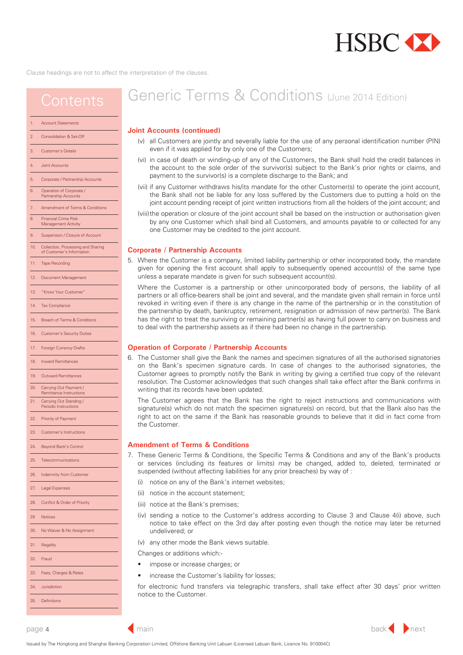

<span id="page-3-0"></span>

| 1.  | <b>Account Statements</b>                                       |
|-----|-----------------------------------------------------------------|
| 2.  | Consolidation & Set-Off                                         |
| 3.  | <b>Customer's Details</b>                                       |
| 4.  | <b>Joint Accounts</b>                                           |
| 5.  | Corporate / Partnership Accounts                                |
| 6.  | Operation of Corporate /<br>Partnership Accounts                |
| 7.  | Amendment of Terms & Conditions                                 |
| 8.  | <b>Financial Crime Risk</b><br>Management Activity              |
| 9.  | Suspension / Closure of Account                                 |
| 10. | Collection, Processing and Sharing<br>of Customer's Information |
| 11. | <b>Tape Recording</b>                                           |
| 12. | Document Management                                             |
| 13. | "Know Your Customer"                                            |
| 14. | <b>Tax Compliance</b>                                           |
| 15. | Breach of Terms & Conditions                                    |
| 16. | <b>Customer's Security Duties</b>                               |
| 17. | <b>Foreign Currency Drafts</b>                                  |
| 18. | <b>Inward Remittances</b>                                       |
| 19. | <b>Outward Remittances</b>                                      |
| 20. | Carrying Out Payment /<br>Remittance Instructions               |
| 21. | Carrying Out Standing /<br>Periodic Instructions                |
| 22. | Priority of Payment                                             |
| 23. | <b>Customer's Instructions</b>                                  |
| 24. | Beyond Bank's Control                                           |
| 25. | Telecommunications                                              |
| 26. | Indemnity from Customer                                         |
| 27. | Legal Expenses                                                  |
| 28. | Conflict & Order of Priority                                    |
| 29  | <b>Notices</b>                                                  |
| 30. | No Waiver & No Assignment                                       |
| 31. | Illegality                                                      |
| 32. | Fraud                                                           |
| 33. | Fees, Charges & Rates                                           |

# Generic Terms & Conditions (May 2016 Edition)

#### **Joint Accounts (continued)**

- (v) all Customers are jointly and severally liable for the use of any personal identification number (PIN) even if it was applied for by only one of the Customers;
- (vi) in case of death or winding-up of any of the Customers, the Bank shall hold the credit balances in the account to the sole order of the survivor(s) subject to the Bank's prior rights or claims, and payment to the survivor(s) is a complete discharge to the Bank;
- (vii) if any Customer withdraws his/its mandate for the other Customer(s) to operate the joint account, the Bank shall not be liable for any loss suffered by the Customers due to putting a hold on the joint account pending receipt of joint written instructions from all the holders of the joint account; and
- (viii) the operation or closure of the joint account shall be based on the instruction or authorisation given by any one Customer which shall bind all Customers, and amounts payable to or collected for any one Customer may be credited to the joint account.

#### **Corporate / Partnership Accounts**

5. Where the Customer is a company, limited liability partnership or other incorporated body, the mandate given for opening the first account shall apply to subsequently opened account(s) of the same type unless a separate mandate is given for such subsequent account(s).

Where the Customer is a partnership or other unincorporated body of persons, the liability of all partners or all office-bearers shall be joint and several, and the mandate given shall remain in force until revoked in writing even if there is any change in the name of the partnership or in the constitution of the partnership by death, bankruptcy, retirement, resignation or admission of new partner(s). The Bank has the right to treat the surviving or remaining partner(s) as having full power to carry on business and to deal with the partnership assets as if there had been no change in the partnership.

#### **Operation of Corporate / Partnership Accounts**

6. The Customer shall give the Bank the names and specimen signatures of all the authorised signatories on the Bank's specimen signature cards. In case of changes to the authorised signatories, the Customer agrees to promptly notify the Bank in writing by giving a certified true copy of the relevant resolution. The Customer acknowledges that such changes shall take effect after the Bank confirms in writing that its records have been updated.

The Customer agrees that the Bank has the right to reject instructions and communications with signature(s) which do not match the specimen signature(s) on record, but that the Bank also has the right to act on the same if the Bank has reasonable grounds to believe that it did in fact come from the Customer.

#### **Amendment of Terms & Conditions**

- 7. These Generic Terms & Conditions, the Specific Terms & Conditions and any of the Bank's products or services (including its features or limits) may be changed, added to, deleted, terminated or suspended (without affecting liabilities for any prior breaches) by way of :
	- (i) notice on any of the Bank's internet websites;
	- (ii) notice in the account statement;
	- (iii) notice at the Bank's premises;
	- (iv) sending a notice to the Customer's address according to Clause 3 and Clause 4(i) above, such notice to take effect on the 3rd day after posting even though the notice may later be returned undelivered; or
	- (v) any other mode the Bank views suitable.

Changes or additions which:-

- impose or increase charges; or
- increase the Customer's liability for losses:

for electronic fund transfers via telegraphic transfers, shall take effect after 30 days' prior written notice to the Customer.

[34. Jurisdiction](#page-13-0) [35. Definitions](#page-14-0)



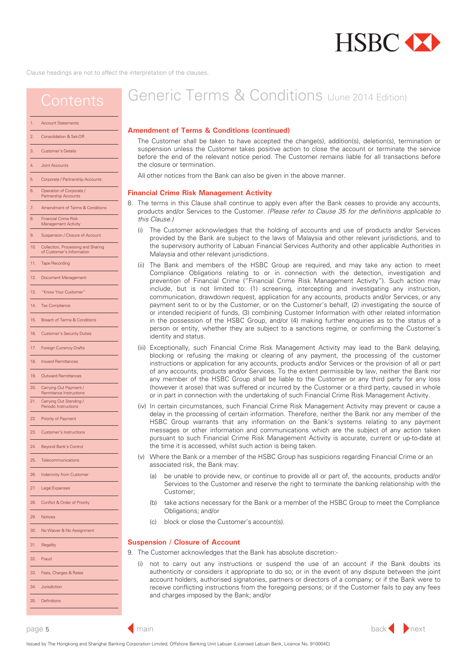

## <span id="page-4-0"></span>**Contents**

#### Account Statements

- [2. Consolidation & Set-Off](#page-2-0)
- [3. Customer's Details](#page-2-0)
- [4. Joint Accounts](#page-3-0)
- [5. Corporate / Partnership Accounts](#page-3-0)
- [6. Operation of Corporate /](#page-3-0) Partnership Accounts
- [7. Amendment of Terms & Conditions](#page-3-0)
- 8. Financial Crime Risk Management Activit
- [9. Suspension / Closure of Account](#page-5-0)
- 
- [10. Collection, Processing and Sharing](#page-5-0) of Customer's Inform
- 11 Tape Recording
- [12. Document Management](#page-7-0)
- [13. "Know Your Customer"](#page-7-0)
- [14. Tax Compliance](#page-8-0)
- [15. Breach of Terms & Conditions](#page-8-0)
- [16. Customer's Security Duties](#page-8-0)
- [17. Foreign Currency Drafts](#page-9-0)
- [18. Inward Remittances](#page-9-0)
- [19. Outward Remittances](#page-10-0)
- [20. Carrying Out Payment /](#page-10-0)
- Remittance Instructions 21. Carrying Out Standing Periodic Instructions
- [22. Priority of Payment](#page-11-0)
- [23. Customer's Instructions](#page-11-0)
- 
- [24. Beyond Bank's Control](#page-11-0)
- [25. Telecommunications](#page-11-0)
- [26. Indemnity from Customer](#page-12-0)
- [27. Legal Expenses](#page-13-0)
- 
- 28. [Conflict & Order of Priority](#page-13-0)
- [29 Notices](#page-13-0)
- [30. No Waiver & No Assignment](#page-13-0)
- 
- [31. Illegality](#page-13-0)
- [32. Fraud](#page-13-0)
- [33. Fees, Charges & Rates](#page-13-0)
- [34. Jurisdiction](#page-13-0)
- [35. Definitions](#page-14-0)

# Generic Terms & Conditions (June 2014 Edition)

#### **Amendment of Terms & Conditions (continued)**

The Customer shall be taken to have accepted the change(s), addition(s), deletion(s), termination or suspension unless the Customer takes positive action to close the account or terminate the service before the end of the relevant notice period. The Customer remains liable for all transactions before the closure or termination.

All other notices from the Bank can also be given in the above manner.

#### **Financial Crime Risk Management Activity**

- 8. The terms in this Clause shall continue to apply even after the Bank ceases to provide any accounts, products and/or Services to the Customer. *(Please refer to Clause 35 for the definitions applicable to this Clause.)*
	- (i) The Customer acknowledges that the holding of accounts and use of products and/or Services provided by the Bank are subject to the laws of Malaysia and other relevant jurisdictions, and to the supervisory authority of Labuan Financial Services Authority and other applicable Authorities in Malaysia and other relevant jurisdictions.
	- (ii) The Bank and members of the HSBC Group are required, and may take any action to meet Compliance Obligations relating to or in connection with the detection, investigation and prevention of Financial Crime ("Financial Crime Risk Management Activity"). Such action may include, but is not limited to: (1) screening, intercepting and investigating any instruction, communication, drawdown request, application for any accounts, products and/or Services, or any payment sent to or by the Customer, or on the Customer's behalf, (2) investigating the source of or intended recipient of funds, (3) combining Customer Information with other related information in the possession of the HSBC Group, and/or (4) making further enquiries as to the status of a person or entity, whether they are subject to a sanctions regime, or confirming the Customer's identity and status.
	- (iii) Exceptionally, such Financial Crime Risk Management Activity may lead to the Bank delaying, blocking or refusing the making or clearing of any payment, the processing of the customer instructions or application for any accounts, products and/or Services or the provision of all or part of any accounts, products and/or Services. To the extent permissible by law, neither the Bank nor any member of the HSBC Group shall be liable to the Customer or any third party for any loss (however it arose) that was suffered or incurred by the Customer or a third party, caused in whole or in part in connection with the undertaking of such Financial Crime Risk Management Activity.
	- (iv) In certain circumstances, such Financial Crime Risk Management Activity may prevent or cause a delay in the processing of certain information. Therefore, neither the Bank nor any member of the HSBC Group warrants that any information on the Bank's systems relating to any payment messages or other information and communications which are the subject of any action taken pursuant to such Financial Crime Risk Management Activity is accurate, current or up-to-date at the time it is accessed, whilst such action is being taken.
	- (v) Where the Bank or a member of the HSBC Group has suspicions regarding Financial Crime or an associated risk, the Bank may:
		- (a) be unable to provide new, or continue to provide all or part of, the accounts, products and/or Services to the Customer and reserve the right to terminate the banking relationship with the Customer;
		- (b) take actions necessary for the Bank or a member of the HSBC Group to meet the Compliance Obligations; and/or
		- (c) block or close the Customer's account(s).

#### **Suspension / Closure of Account**

- 9. The Customer acknowledges that the Bank has absolute discretion:-
	- (i) not to carry out any instructions or suspend the use of an account if the Bank doubts its authenticity or considers it appropriate to do so; or in the event of any dispute between the joint account holders, authorised signatories, partners or directors of a company; or if the Bank were to receive conflicting instructions from the foregoing persons; or if the Customer fails to pay any fees and charges imposed by the Bank; and/or



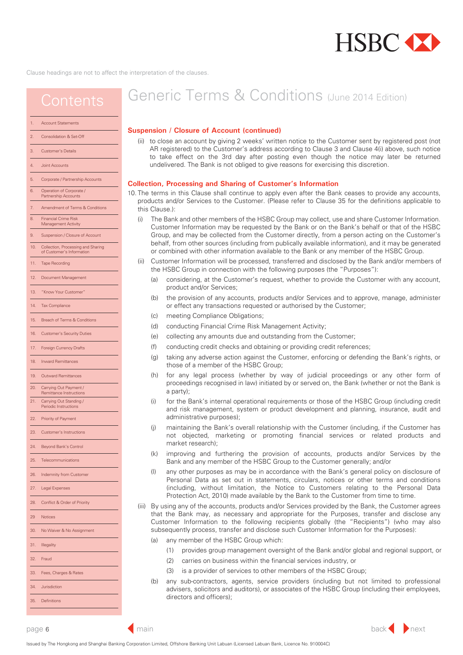

### <span id="page-5-0"></span>**Contents**

### Account Statements [2. Consolidation & Set-Off](#page-2-0) [3. Customer's Details](#page-2-0) [4. Joint Accounts](#page-3-0) [7. Amendment of Terms & Conditions](#page-3-0)  11 Tape Recording [5. Corporate / Partnership Accounts](#page-3-0)  [6. Operation of Corporate /](#page-3-0) Partnership Accounts [8. Financial Crime Risk](#page-4-0) Management Activit 9. Suspension / Closure of Account 10. Collection, Processing and Sharing of Customer's Inform

- [12. Document Management](#page-7-0)
- [13. "Know Your Customer"](#page-7-0)
- [14. Tax Compliance](#page-8-0)
- [15. Breach of Terms & Conditions](#page-8-0)
- [16. Customer's Security Duties](#page-8-0)
- [17. Foreign Currency Drafts](#page-9-0)
- [18. Inward Remittances](#page-9-0)
- [19. Outward Remittances](#page-10-0)
- [20. Carrying Out Payment /](#page-10-0)
- Remittance Instructions 21. Carrying Out Standing
- Periodic Instructions
- [22. Priority of Payment](#page-11-0)
- [23. Customer's Instructions](#page-11-0)
- [24. Beyond Bank's Control](#page-11-0)
- [25. Telecommunications](#page-11-0)
- [26. Indemnity from Customer](#page-12-0)
- [27. Legal Expenses](#page-13-0)
- 
- 28. [Conflict & Order of Priority](#page-13-0)
- [29 Notices](#page-13-0)

[30. No Waiver & No Assignment](#page-13-0)

- 
- [31. Illegality](#page-13-0)

[32. Fraud](#page-13-0)

- [33. Fees, Charges & Rates](#page-13-0)
- [34. Jurisdiction](#page-13-0)
- [35. Definitions](#page-14-0)

# Generic Terms & Conditions (June 2014 Edition)

#### **Suspension / Closure of Account (continued)**

- (ii) to close an account by giving 2 weeks' written notice to the Customer at the Customer's address or facsimile number according to Clause 3 and Clause 4(i) above by:
	- (a) personal delivery and shall be taken to have been received at the time of delivery;
	- (b) ordinary / registered post (either AR or non-AR registered) or courier and shall be taken to have been received on the 3rd day after posting or the 3rd day after despatch to the courier service provider, as the case may be, even though it may later be returned undelivered, or the Bank is not in receipt of the signed AR card or the Customer's acknowledgement of receipt; or
	- (c) facsimile and shall be taken to have been received at the time of transmission.
		- The Bank is not obliged to give its reasons for exercising its discretion to close the account.

#### **Collection, Processing and Sharing of Customer's Information**

- 10. The terms in this Clause shall continue to apply even after the Bank ceases to provide any accounts, products and/or Services to the Customer. (Please refer to Clause 35 for the definitions applicable to this Clause.):
	- The Bank and other members of the HSBC Group may collect, use and share Customer Information. Customer Information may be requested by the Bank or on the Bank's behalf or that of the HSBC Group, and may be collected from the Customer directly, from a person acting on the Customer's behalf, from other sources (including from publically available information), and it may be generated or combined with other information available to the Bank or any member of the HSBC Group.
	- (ii) Customer Information will be processed, transferred and disclosed by the Bank and/or members of the HSBC Group in connection with the following purposes (the "Purposes"):
		- (a) considering, at the Customer's request, whether to provide the Customer with any account, product and/or Services;
		- (b) the provision of any accounts, products and/or Services and to approve, manage, administer or effect any transactions requested or authorised by the Customer;
		- (c) meeting Compliance Obligations;
		- (d) conducting Financial Crime Risk Management Activity;
		- (e) collecting any amounts due and outstanding from the Customer;
		- (f) conducting credit checks and obtaining or providing credit references;
		- (g) taking any adverse action against the Customer, enforcing or defending the Bank's rights, or those of a member of the HSBC Group;
		- (h) for any legal process (whether by way of judicial proceedings or any other form of proceedings recognised in law) initiated by or served on, the Bank (whether or not the Bank is a party);
		- (i) for the Bank's internal operational requirements or those of the HSBC Group (including credit and risk management, system or product development and planning, insurance, audit and administrative purposes);
		- (j) maintaining the Bank's overall relationship with the Customer (including, if the Customer has not objected, marketing or promoting financial services or related products and market research);
		- (k) improving and furthering the provision of accounts, products and/or Services by the Bank and any member of the HSBC Group to the Customer generally; and/or
		- (l) any other purposes as may be in accordance with the Bank's general policy on disclosure of Personal Data as set out in statements, circulars, notices or other terms and conditions (including, without limitation, the Notice to Customers relating to the Personal Data Protection Act, 2010) made available by the Bank to the Customer from time to time.
	- (iii) By using any of the accounts, products and/or Services provided by the Bank, the Customer agrees that the Bank may, as necessary and appropriate for the Purposes, transfer and disclose any Customer Information to the following recipients globally (the "Recipients") (who may also subsequently process, transfer and disclose such Customer Information for the Purposes):
		- (a) any member of the HSBC Group which:
			- (1) provides group management oversight of the Bank and/or global and regional support, or
			- (2) carries on business within the financial services industry, or
			- (3) is a provider of services to other members of the HSBC Group;
		- (b) any sub-contractors, agents, service providers (including but not limited to professional advisers, solicitors and auditors), or associates of the HSBC Group (including their employees, directors and officers);

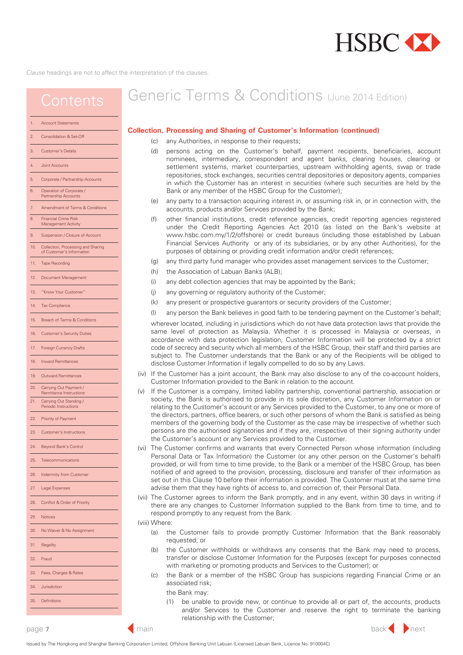

## <span id="page-6-0"></span>**Contents**

[7. Amendment of Terms & Conditions](#page-3-0) 

[5. Corporate / Partnership Accounts](#page-3-0) 

[6. Operation of Corporate /](#page-3-0) Partnership Accounts

[8. Financial Crime Risk](#page-4-0) Management Activit 9. Suspension / Closure of Account [10. Collection, Processing and Sharing](#page-5-0) of Customer's Inform

11 Tape Recording

[12. Document Management](#page-7-0) [13. "Know Your Customer"](#page-7-0) [14. Tax Compliance](#page-8-0)

[15. Breach of Terms & Conditions](#page-8-0) [16. Customer's Security Duties](#page-8-0) [17. Foreign Currency Drafts](#page-9-0) [18. Inward Remittances](#page-9-0) [19. Outward Remittances](#page-10-0) [20. Carrying Out Payment /](#page-10-0) Remittance Instructions

[25. Telecommunications](#page-11-0) [26. Indemnity from Customer](#page-12-0)

[23. Customer's Instructions](#page-11-0)

[24. Beyond Bank's Control](#page-11-0)

21. Carrying Out Standing Periodic Instructions [22. Priority of Payment](#page-11-0)

[27. Legal Expenses](#page-13-0)

[29 Notices](#page-13-0)

[31. Illegality](#page-13-0) [32. Fraud](#page-13-0)

[34. Jurisdiction](#page-13-0) [35. Definitions](#page-14-0)

28. [Conflict & Order of Priority](#page-13-0)

[30. No Waiver & No Assignment](#page-13-0)

[33. Fees, Charges & Rates](#page-13-0)

Account Statements [2. Consolidation & Set-Off](#page-2-0) [3. Customer's Details](#page-2-0) [4. Joint Accounts](#page-3-0)

# Generic Terms & Conditions (June 2014 Edition)

#### **Collection, Processing and Sharing of Customer's Information (continued)**

- (c) any Authorities, in response to their requests;
- (d) persons acting on the Customer's behalf, payment recipients, beneficiaries, account nominees, intermediary, correspondent and agent banks, clearing houses, clearing or settlement systems, market counterparties, upstream withholding agents, swap or trade repositories, stock exchanges, securities central depositories or depository agents, companies in which the Customer has an interest in securities (where such securities are held by the Bank or any member of the HSBC Group for the Customer);
- (e) any party to a transaction acquiring interest in, or assuming risk in, or in connection with, the accounts, products and/or Services provided by the Bank;
- (f) other financial institutions, credit reference agencies, credit reporting agencies registered under the Credit Reporting Agencies Act 2010 (as listed on the Bank's website at [www.hsbc.com.my/1/2/offshore\)](www.hsbc.com.my/1/2/offshore) or credit bureaus (including those established by Labuan Financial Services Authority or any of its subsidiaries, or by any other Authorities), for the purposes of obtaining or providing credit information and/or credit references;
- (g) any third party fund manager who provides asset management services to the Customer;
- (h) the Association of Labuan Banks (ALB);
- (i) any debt collection agencies that may be appointed by the Bank;
- (j) any governing or regulatory authority of the Customer;
- (k) any present or prospective guarantors or security providers of the Customer;
- (l) any person the Bank believes in good faith to be tendering payment on the Customer's behalf;

wherever located, including in jurisdictions which do not have data protection laws that provide the same level of protection as Malaysia. Whether it is processed in Malaysia or overseas, in accordance with data protection legislation, Customer Information will be protected by a strict code of secrecy and security which all members of the HSBC Group, their staff and third parties are subject to. The Customer understands that the Bank or any of the Recipients will be obliged to disclose Customer Information if legally compelled to do so by any Laws.

- (iv) If the Customer has a joint account, the Bank may also disclose to any of the co-account holders, Customer Information provided to the Bank in relation to the account.
- (v) If the Customer is a company, limited liability partnership, conventional partnership, association or society, the Bank is authorised to provide in its sole discretion, any Customer Information on or relating to the Customer's account or any Services provided to the Customer, to any one or more of the directors, partners, office bearers, or such other persons of whom the Bank is satisfied as being members of the governing body of the Customer as the case may be irrespective of whether such persons are the authorised signatories and if they are, irrespective of their signing authority under the Customer's account or any Services provided to the Customer.
- (vi) The Customer confirms and warrants that every Connected Person whose information (including Personal Data or Tax Information) the Customer (or any other person on the Customer's behalf) provided, or will from time to time provide, to the Bank or a member of the HSBC Group, has been notified of and agreed to the provision, processing, disclosure and transfer of their information as set out in this Clause 10 before their information is provided. The Customer must at the same time advise them that they have rights of access to, and correction of, their Personal Data.
- (vii) The Customer agrees to inform the Bank promptly, and in any event, within 30 days in writing if there are any changes to Customer Information supplied to the Bank from time to time, and to respond promptly to any request from the Bank.

(viii) Where:

- (a) the Customer fails to provide promptly Customer Information that the Bank reasonably requested; or
- (b) the Customer withholds or withdraws any consents that the Bank may need to process, transfer or disclose Customer Information for the Purposes (except for purposes connected with marketing or promoting products and Services to the Customer); or
- (c) the Bank or a member of the HSBC Group has suspicions regarding Financial Crime or an associated risk;
	- the Bank may:
	- (1) be unable to provide new, or continue to provide all or part of, the accounts, products and/or Services to the Customer and reserve the right to terminate the banking relationship with the Customer;

◀

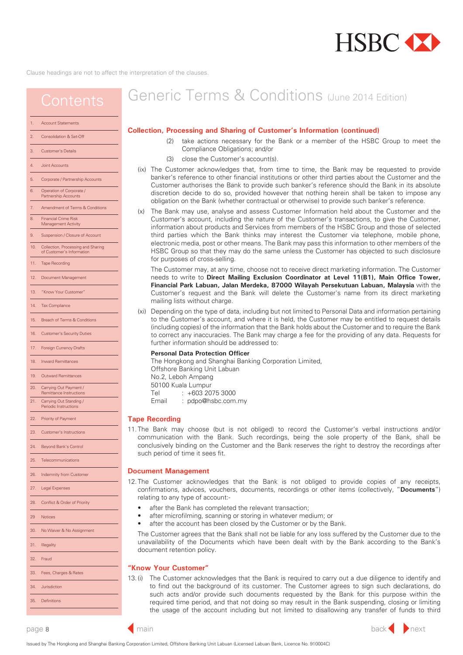

## <span id="page-7-0"></span>**Contents**

[7. Amendment of Terms & Conditions](#page-3-0) 

[5. Corporate / Partnership Accounts](#page-3-0) 

[6. Operation of Corporate /](#page-3-0) Partnership Accounts

[8. Financial Crime Risk](#page-4-0) Management Activit [9. Suspension / Closure of Account](#page-5-0)  [10. Collection, Processing and Sharing](#page-5-0) of Customer's Inform

11 Tape Recording

12. Document Management 13. "Know Your Customer" [14. Tax Compliance](#page-8-0)

[15. Breach of Terms & Conditions](#page-8-0) [16. Customer's Security Duties](#page-8-0) [17. Foreign Currency Drafts](#page-9-0) [18. Inward Remittances](#page-9-0) [19. Outward Remittances](#page-10-0) [20. Carrying Out Payment /](#page-10-0) Remittance Instructions

[25. Telecommunications](#page-11-0) [26. Indemnity from Customer](#page-12-0)

[23. Customer's Instructions](#page-11-0)

[24. Beyond Bank's Control](#page-11-0)

21. Carrying Out Standing Periodic Instructions [22. Priority of Payment](#page-11-0)

[27. Legal Expenses](#page-13-0)

[29 Notices](#page-13-0)

[31. Illegality](#page-13-0) [32. Fraud](#page-13-0)

[34. Jurisdiction](#page-13-0) [35. Definitions](#page-14-0)

28. [Conflict & Order of Priority](#page-13-0)

[30. No Waiver & No Assignment](#page-13-0)

[33. Fees, Charges & Rates](#page-13-0)

Account Statements [2. Consolidation & Set-Off](#page-2-0) [3. Customer's Details](#page-2-0) [4. Joint Accounts](#page-3-0)

# Generic Terms & Conditions (June 2014 Edition)

#### **Collection, Processing and Sharing of Customer's Information (continued)**

- (2) take actions necessary for the Bank or a member of the HSBC Group to meet the Compliance Obligations; and/or
- (3) close the Customer's account(s).
- (ix) The Customer acknowledges that, from time to time, the Bank may be requested to provide banker's reference to other financial institutions or other third parties about the Customer and the Customer authorises the Bank to provide such banker's reference should the Bank in its absolute discretion decide to do so, provided however that nothing herein shall be taken to impose any obligation on the Bank (whether contractual or otherwise) to provide such banker's reference.
- (x) The Bank may use, analyse and assess Customer Information held about the Customer and the Customer's account, including the nature of the Customer's transactions, to give the Customer, information about products and Services from members of the HSBC Group and those of selected third parties which the Bank thinks may interest the Customer via telephone, mobile phone, electronic media, post or other means. The Bank may pass this information to other members of the HSBC Group so that they may do the same unless the Customer has objected to such disclosure for purposes of cross-selling.

The Customer may, at any time, choose not to receive direct marketing information. The Customer needs to write to **Direct Mailing Exclusion Coordinator at Level 11(B1), Main Office Tower, Financial Park Labuan, Jalan Merdeka, 87000 Wilayah Persekutuan Labuan, Malaysia** with the Customer's request and the Bank will delete the Customer's name from its direct marketing mailing lists without charge.

(xi) Depending on the type of data, including but not limited to Personal Data and information pertaining to the Customer's account, and where it is held, the Customer may be entitled to request details (including copies) of the information that the Bank holds about the Customer and to require the Bank to correct any inaccuracies. The Bank may charge a fee for the providing of any data. Requests for further information should be addressed to:

#### **Personal Data Protection Officer**

The Hongkong and Shanghai Banking Corporation Limited,

- Offshore Banking Unit Labuan
- No.2, Leboh Ampang
- 50100 Kuala Lumpur
- Tel : +603 2075 3000
- Email : pdpo@hsbc.com.my

#### **Tape Recording**

11. The Bank may choose (but is not obliged) to record the Customer's verbal instructions and/or communication with the Bank. Such recordings, being the sole property of the Bank, shall be conclusively binding on the Customer and the Bank reserves the right to destroy the recordings after such period of time it sees fit.

#### **Document Management**

- 12. The Customer acknowledges that the Bank is not obliged to provide copies of any receipts, confirmations, advices, vouchers, documents, recordings or other items (collectively, "**Documents**") relating to any type of account:
	- after the Bank has completed the relevant transaction;
	- after microfilming, scanning or storing in whatever medium; or
	- after the account has been closed by the Customer or by the Bank.

The Customer agrees that the Bank shall not be liable for any loss suffered by the Customer due to the unavailability of the Documents which have been dealt with by the Bank according to the Bank's document retention policy.

#### **"Know Your Customer"**

13. (i) The Customer acknowledges that the Bank is required to carry out a due diligence to identify and to find out the background of its customer. The Customer agrees to sign such declarations, do such acts and/or provide such documents requested by the Bank for this purpose within the required time period, and that not doing so may result in the Bank suspending, closing or limiting the usage of the account including but not limited to disallowing any transfer of funds to third



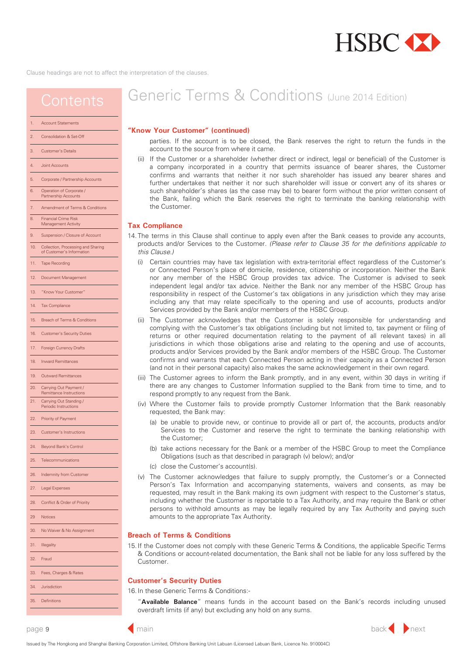

### <span id="page-8-0"></span>**Contents**

#### Account Statements

#### [2. Consolidation & Set-Off](#page-2-0)

- [3. Customer's Details](#page-2-0)
- [4. Joint Accounts](#page-3-0)
- [5. Corporate / Partnership Accounts](#page-3-0)
- [6. Operation of Corporate /](#page-3-0) Partnership Accounts
- [7. Amendment of Terms & Conditions](#page-3-0)
- [8. Financial Crime Risk](#page-4-0) Management Activit
- [9. Suspension / Closure of Account](#page-5-0)
- [10. Collection, Processing and Sharing](#page-5-0)
- of Customer's Inform
- 11 Tape Recording
- [12. Document Management](#page-7-0)
- [13. "Know Your Customer"](#page-7-0)
- 14. Tax Compliance
- 15. Breach of Terms & Conditions
- 16. Customer's Security Duties
- [17. Foreign Currency Drafts](#page-9-0)
- [18. Inward Remittances](#page-9-0)
- 
- [19. Outward Remittances](#page-10-0)
- [20. Carrying Out Payment /](#page-10-0) Remittance Instructions
- [21. Carrying Out Standing /](#page-11-0) Periodic Instructions
- [22. Priority of Payment](#page-11-0)
- [23. Customer's Instructions](#page-11-0)
- [24. Beyond Bank's Control](#page-11-0)
- [25. Telecommunications](#page-11-0)
- [26. Indemnity from Customer](#page-12-0)
- [27. Legal Expenses](#page-13-0)
- 
- 28. [Conflict & Order of Priority](#page-13-0) [29 Notices](#page-13-0)
- [31. Illegality](#page-13-0) [32. Fraud](#page-13-0) [33. Fees, Charges & Rates](#page-13-0) [30. No Waiver & No Assignment](#page-13-0)

[34. Jurisdiction](#page-13-0) [35. Definitions](#page-14-0)

# Generic Terms & Conditions (June 2014 Edition)

#### **"Know Your Customer" (continued)**

parties. If the account is to be closed, the Bank reserves the right to return the funds in the account to the source from where it came.

(ii) If the Customer or a shareholder (whether direct or indirect, legal or beneficial) of the Customer is a company incorporated in a country that permits issuance of bearer shares, the Customer confirms and warrants that neither it nor such shareholder has issued any bearer shares and further undertakes that neither it nor such shareholder will issue or convert any of its shares or such shareholder's shares (as the case may be) to bearer form without the prior written consent of the Bank, failing which the Bank reserves the right to terminate the banking relationship with the Customer.

#### **Tax Compliance**

- 14. The terms in this Clause shall continue to apply even after the Bank ceases to provide any accounts, products and/or Services to the Customer. *(Please refer to Clause 35 for the definitions applicable to this Clause.)*
	- (i) Certain countries may have tax legislation with extra-territorial effect regardless of the Customer's or Connected Person's place of domicile, residence, citizenship or incorporation. Neither the Bank nor any member of the HSBC Group provides tax advice. The Customer is advised to seek independent legal and/or tax advice. Neither the Bank nor any member of the HSBC Group has responsibility in respect of the Customer's tax obligations in any jurisdiction which they may arise including any that may relate specifically to the opening and use of accounts, products and/or Services provided by the Bank and/or members of the HSBC Group.
	- (ii) The Customer acknowledges that the Customer is solely responsible for understanding and complying with the Customer's tax obligations (including but not limited to, tax payment or filing of returns or other required documentation relating to the payment of all relevant taxes) in all jurisdictions in which those obligations arise and relating to the opening and use of accounts, products and/or Services provided by the Bank and/or members of the HSBC Group. The Customer confirms and warrants that each Connected Person acting in their capacity as a Connected Person (and not in their personal capacity) also makes the same acknowledgement in their own regard.
	- (iii) The Customer agrees to inform the Bank promptly, and in any event, within 30 days in writing if there are any changes to Customer Information supplied to the Bank from time to time, and to respond promptly to any request from the Bank.
	- (iv) Where the Customer fails to provide promptly Customer Information that the Bank reasonably requested, the Bank may:
		- (a) be unable to provide new, or continue to provide all or part of, the accounts, products and/or Services to the Customer and reserve the right to terminate the banking relationship with the Customer;
		- (b) take actions necessary for the Bank or a member of the HSBC Group to meet the Compliance Obligations (such as that described in paragraph (v) below); and/or
		- (c) close the Customer's account(s).
	- (v) The Customer acknowledges that failure to supply promptly, the Customer's or a Connected Person's Tax Information and accompanying statements, waivers and consents, as may be requested, may result in the Bank making its own judgment with respect to the Customer's status, including whether the Customer is reportable to a Tax Authority, and may require the Bank or other persons to withhold amounts as may be legally required by any Tax Authority and paying such amounts to the appropriate Tax Authority.

#### **Breach of Terms & Conditions**

15. If the Customer does not comply with these Generic Terms & Conditions, the applicable Specific Terms & Conditions or account-related documentation, the Bank shall not be liable for any loss suffered by the Customer.

#### **Customer's Security Duties**

16. In these Generic Terms & Conditions:-

"**Available Balance**" means funds in the account based on the Bank's records including unused overdraft limits (if any) but excluding any hold on any sums.

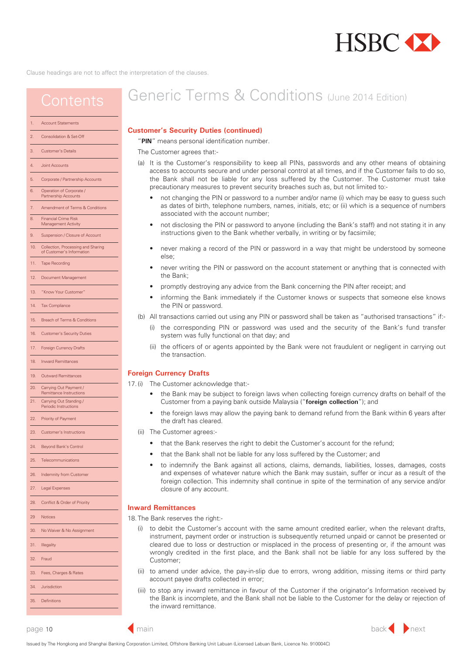

### <span id="page-9-0"></span>**Contents**

#### Account Statements

#### [2. Consolidation & Set-Off](#page-2-0)

- [3. Customer's Details](#page-2-0)
- [4. Joint Accounts](#page-3-0)
- 5. [Corporate / Partnership Accounts](#page-3-0)
- [6. Operation of Corporate /](#page-3-0) Partnership Accounts
- [7. Amendment of Terms & Conditions](#page-3-0)
- [8. Financial Crime Risk](#page-4-0) Management Activit
- 9. [Suspension / Closure of Account](#page-5-0)
- [10. Collection, Processing and Sharing](#page-5-0)
- of Customer's Inform
- 11 Tape Recording
- [12. Document Management](#page-7-0)
- [13. "Know Your Customer"](#page-7-0)
- [14. Tax Compliance](#page-8-0)
- [15. Breach of Terms & Conditions](#page-8-0)
- 16. [Customer's Security Duties](#page-8-0)
- 
- 17. Foreign Currency Drafts
- 18. Inward Remittances
- [19. Outward Remittances](#page-10-0)
- 20. Carrying Out Payment /
- Remittance Instructions 21. Carrying Out Standing
- Periodic Instructions
- [22. Priority of Payment](#page-11-0)
- [23. Customer's Instructions](#page-11-0)
- [24. Beyond Bank's Control](#page-11-0)
- [25. Telecommunications](#page-11-0)
- 
- 26. [Indemnity from Customer](#page-12-0)
- [27. Legal Expenses](#page-13-0)
- 28. [Conflict & Order of Priority](#page-13-0)
- [29 Notices](#page-13-0)
- 
- [30. No Waiver & No Assignment](#page-13-0)
- [31. Illegality](#page-13-0)
- [32. Fraud](#page-13-0)
- 
- [33. Fees, Charges & Rates](#page-13-0)
- [34. Jurisdiction](#page-13-0)
- [35. Definitions](#page-14-0)

# Generic Terms & Conditions (June 2014 Edition)

#### **Customer's Security Duties (continued)**

"**PIN**" means personal identification number.

The Customer agrees that:-

- (a) It is the Customer's responsibility to keep all PINs, passwords and any other means of obtaining access to accounts secure and under personal control at all times, and if the Customer fails to do so, the Bank shall not be liable for any loss suffered by the Customer. The Customer must take precautionary measures to prevent security breaches such as, but not limited to:-
	- not changing the PIN or password to a number and/or name (i) which may be easy to guess such as dates of birth, telephone numbers, names, initials, etc; or (ii) which is a sequence of numbers associated with the account number;
	- not disclosing the PIN or password to anyone (including the Bank's staff) and not stating it in any instructions given to the Bank whether verbally, in writing or by facsimile;
	- never making a record of the PIN or password in a way that might be understood by someone else;
	- never writing the PIN or password on the account statement or anything that is connected with the Bank;
	- promptly destroying any advice from the Bank concerning the PIN after receipt; and
	- informing the Bank immediately if the Customer knows or suspects that someone else knows the PIN or password.
- (b) All transactions carried out using any PIN or password shall be taken as "authorised transactions" if:-
	- (i) the corresponding PIN or password was used and the security of the Bank's fund transfer system was fully functional on that day; and
	- (ii) the officers of or agents appointed by the Bank were not fraudulent or negligent in carrying out the transaction.

#### **Inward Remittances**

17.The Bank reserves the right:-

- (i) to debit the Customer's account with the same amount credited earlier, when the relevant drafts, instrument, payment order or instruction is subsequently returned unpaid or cannot be presented or cleared due to loss or destruction or misplaced in the process of presenting or, if the amount was wrongly credited in the first place, and the Bank shall not be liable for any loss suffered by the Customer;
- (ii) to amend under advice, the pay-in-slip due to errors, wrong addition, missing items or third party account payee drafts collected in error;
- (iii) to stop any inward remittance in favour of the Customer if the originator's Information received by the Bank is incomplete, and the Bank shall not be liable to the Customer for the delay or rejection of the inward remittance.

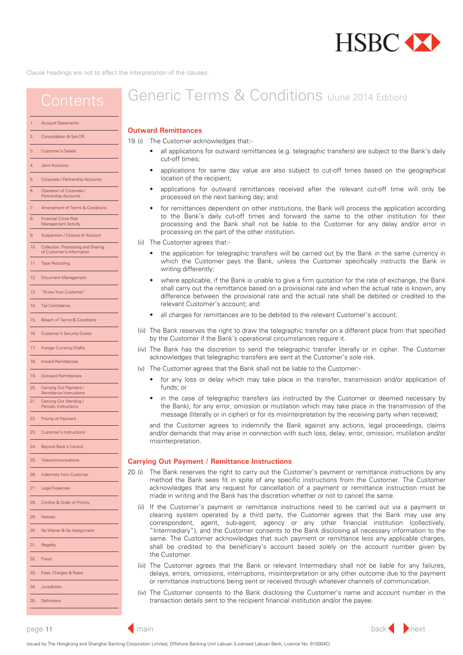

### <span id="page-10-0"></span>**Contents**

#### [Account Statements](#page-2-0)

#### 2. [Consolidation & Set-Off](#page-2-0)

- 3. [Customer's Details](#page-2-0)
- 4. [Joint Accounts](#page-3-0)
- 5. [Corporate / Partnership Accounts](#page-3-0)
- 6. [Operation of Corporate /](#page-3-0) Partnership Accounts
- [7. Amendment of Terms & Conditions](#page-3-0)
- [8. Financial Crime Risk](#page-4-0)
- Management Activit
- 9. [Suspension / Closure of Account](#page-5-0)
- 10. [Collection, Processing and Sharing](#page-5-0) of Customer's Inform
- 11 Tape Recording
- 12. [Document Management](#page-7-0)
- 13. ["Know Your Customer"](#page-7-0)
- 
- 14. [Tax Compliance](#page-8-0)
- 15. [Breach of Terms & Conditions](#page-8-0)
- 16. [Customer's Security Duties](#page-8-0)
- 17. [Foreign Currency Drafts](#page-9-0)
- [18. Inward Remittances](#page-9-0)
- 19. Outward Remittances
- 20. Carrying Out Payment / Remittance Instructions
- 21. [Carrying Out Standing /](#page-11-0)
- Periodic Instructions
- 22. [Priority of Payment](#page-11-0)
- 23. [Customer's Instructions](#page-11-0)
- [24. Beyond Bank's Control](#page-11-0)
- [25. Telecommunications](#page-11-0)
- 26. [Indemnity from Customer](#page-12-0)
- 
- 27. [Legal Expenses](#page-13-0)
- 28. [Conflict & Order of Priority](#page-13-0) 29 [Notices](#page-13-0)
- 30. [No Waiver & No Assignment](#page-13-0)
- 31. [Illegality](#page-13-0) [32. Fraud](#page-13-0)
- 33. [Fees, Charges & Rates](#page-13-0)
- 34. [Jurisdiction](#page-13-0)
- 35. [Definitions](#page-14-0)

# Generic Terms & Conditions (June 2014 Edition)

#### **Outward Remittances**

- 18. (i) The Customer acknowledges that:-
	- all applications for outward remittances (e.g. telegraphic transfers) are subject to the Bank's daily cut-off times;
	- applications for same day value are also subject to cut-off times based on the geographical location of the recipient;
	- applications for outward remittances received after the relevant cut-off time will only be processed on the next banking day; and
	- for remittances dependent on other institutions, the Bank will process the application according to the Bank's daily cut-off times and forward the same to the other institution for their processing and the Bank shall not be liable to the Customer for any delay and/or error in processing on the part of the other institution.
	- (ii) The Customer agrees that:-
		- the application for telegraphic transfers will be carried out by the Bank in the same currency in which the Customer pays the Bank, unless the Customer specifically instructs the Bank in writing differently:
		- where applicable, if the Bank is unable to give a firm quotation for the rate of exchange, the Bank shall carry out the remittance based on a provisional rate and when the actual rate is known, any difference between the provisional rate and the actual rate shall be debited or credited to the relevant Customer's account; and
		- all charges for remittances are to be debited to the relevant Customer's account.
	- (iii) The Bank reserves the right to draw the telegraphic transfer on a different place from that specified by the Customer if the Bank's operational circumstances require it.
- (iv) The Bank has the discretion to send the telegraphic transfer literally or in cipher. The Customer acknowledges that telegraphic transfers are sent at the Customer's sole risk.
- (v) The Customer agrees that the Bank shall not be liable to the Customer:-
	- for any loss or delay which may take place in the transfer, transmission and/or application of funds; or
	- in the case of telegraphic transfers (as instructed by the Customer or deemed necessary by the Bank), for any error, omission or mutilation which may take place in the transmission of the message (literally or in cipher) or for its misinterpretation by the receiving party when received;

and the Customer agrees to indemnify the Bank against any actions, legal proceedings, claims and/or demands that may arise in connection with such loss, delay, error, omission, mutilation and/or misinterpretation.

#### **Carrying Out Payment / Remittance Instructions**

- method the Bank sees fit in spite of any specific instructions from the Customer. The Customer acknowledges that any request for cancellation of a payment or remittance instruction must be made in writing and the Bank has the discretion whether or not to cancel the same. 19. (i) The Bank reserves the right to carry out the Customer's payment or remittance instructions by any
	- (ii) If the Customer's payment or remittance instructions need to be carried out via a payment or clearing system operated by a third party, the Customer agrees that the Bank may use any correspondent, agent, sub-agent, agency or any other financial institution (collectively, "Intermediary"), and the Customer consents to the Bank disclosing all necessary information to the same. The Customer acknowledges that such payment or remittance less any applicable charges, shall be credited to the beneficiary's account based solely on the account number given by the Customer.
	- (iii) The Customer agrees that the Bank or relevant Intermediary shall not be liable for any failures, delays, errors, omissions, interruptions, misinterpretation or any other outcome due to the payment or remittance instructions being sent or received through whatever channels of communication.
	- (iv) The Customer consents to the Bank disclosing the Customer's name and account number in the transaction details sent to the recipient financial institution and/or the payee.



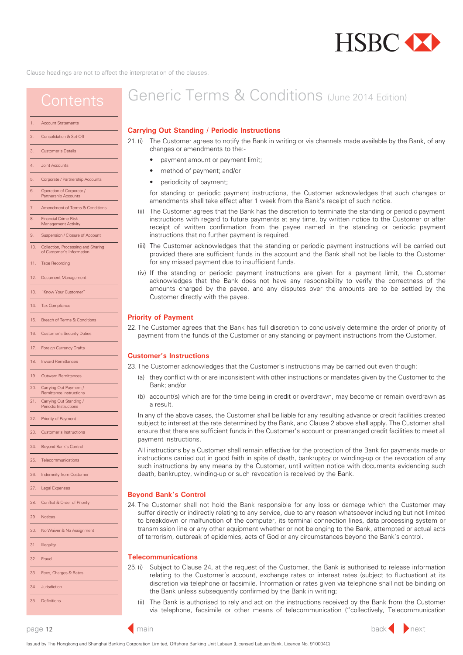

### <span id="page-11-0"></span>**Contents**

#### Account Statements

#### [2. Consolidation & Set-Off](#page-2-0)

- [3. Customer's Details](#page-2-0)
- [4. Joint Accounts](#page-3-0)
- 5. [Corporate / Partnership Accounts](#page-3-0)
- 6. [Operation of Corporate /](#page-3-0) Partnership Accounts
- [7. Amendment of Terms & Conditions](#page-3-0)
- [8. Financial Crime Risk](#page-4-0)
- Management Activit
- 9. [Suspension / Closure of Account](#page-5-0)
- 10. [Collection, Processing and Sharing](#page-5-0) of Customer's Inform
- 11 Tape Recording
- [12. Document Management](#page-7-0)
- [13. "Know Your Customer"](#page-7-0)
- 
- [14. Tax Compliance](#page-8-0)
- [15. Breach of Terms & Conditions](#page-8-0)
- [16. Customer's Security Duties](#page-8-0)
- [17. Foreign Currency Drafts](#page-9-0)
- [18. Inward Remittances](#page-9-0)
- [19. Outward Remittances](#page-10-0)
- 20. Carrying Out Payment / [Remittance Instructions](#page-10-0)
- 21. Carrying Out Standing
- Periodic Instructions
- 22. Priority of Payment
- 23. Customer's Instructions
- 24. Beyond Bank's Control
- 25. Telecommunications
- [26. Indemnity from Customer](#page-12-0)
- 
- [27. Legal Expenses](#page-13-0)
- 28. [Conflict & Order of Priority](#page-13-0) [29 Notices](#page-13-0) [31. Illegality](#page-13-0) [32. Fraud](#page-13-0) [30. No Waiver & No Assignment](#page-13-0)
- [33. Fees, Charges & Rates](#page-13-0)
- [35. Definitions](#page-14-0)

[34. Jurisdiction](#page-13-0)

# Generic Terms & Conditions (June 2014 Edition)

#### **Carrying Out Standing / Periodic Instructions**

changes or amendments to the:- 20. (i) The Customer agrees to notify the Bank in writing or via channels made available by the Bank, of any

- payment amount or payment limit;
- method of payment; and/or
- periodicity of payment;

for standing or periodic payment instructions, the Customer acknowledges that such changes or amendments shall take effect after 1 week from the Bank's receipt of such notice.

- (ii) The Customer agrees that the Bank has the discretion to terminate the standing or periodic payment instructions with regard to future payments at any time, by written notice to the Customer or after receipt of written confirmation from the payee named in the standing or periodic payment instructions that no further payment is required.
- (iii) The Customer acknowledges that the standing or periodic payment instructions will be carried out provided there are sufficient funds in the account and the Bank shall not be liable to the Customer for any missed payment due to insufficient funds.
- (iv) If the standing or periodic payment instructions are given for a payment limit, the Customer acknowledges that the Bank does not have any responsibility to verify the correctness of the amounts charged by the payee, and any disputes over the amounts are to be settled by the Customer directly with the payee.

#### **Priority of Payment**

21. The Customer agrees that the Bank has full discretion to conclusively determine the order of priority of payment from the funds of the Customer or any standing or payment instructions from the Customer.

#### **Customer's Instructions**

- 22. The Customer acknowledges that the Customer's instructions may be carried out even though:
	- (a) they conflict with or are inconsistent with other instructions or mandates given by the Customer to the Bank; and/or
	- (b) account(s) which are for the time being in credit or overdrawn, may become or remain overdrawn as a result.

In any of the above cases, the Customer shall be liable for any resulting advance or credit facilities created subject to interest at the rate determined by the Bank, and Clause 2 above shall apply. The Customer shall ensure that there are sufficient funds in the Customer's account or prearranged credit facilities to meet all payment instructions.

All instructions by a Customer shall remain effective for the protection of the Bank for payments made or instructions carried out in good faith in spite of death, bankruptcy or winding-up or the revocation of any such instructions by any means by the Customer, until written notice with documents evidencing such death, bankruptcy, winding-up or such revocation is received by the Bank.

#### **Beyond Bank's Control**

suffer directly or indirectly relating to any service, due to any reason whatsoever including but not limited to breakdown or malfunction of the computer, its terminal connection lines, data processing system or transmission line or any other equipment whether or not belonging to the Bank, attempted or actual acts of terrorism, outbreak of epidemics, acts of God or any circumstances beyond the Bank's control. 23. The Customer shall not hold the Bank responsible for any loss or damage which the Customer may

#### **Telecommunications**

- relating to the Customer's account, exchange rates or interest rates (subject to fluctuation) at its discretion via telephone or facsimile. Information or rates given via telephone shall not be binding on the Bank unless subsequently confirmed by the Bank in writing; 24. (i) Subject to Clause 24, at the request of the Customer, the Bank is authorised to release information
	- (ii) The Bank is authorised to rely and act on the instructions received by the Bank from the Customer via telephone, facsimile or other means of telecommunication ("collectively, Telecommunication



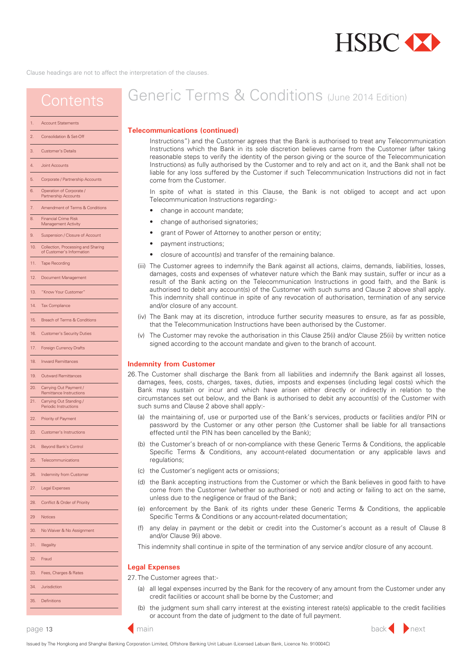

## <span id="page-12-0"></span>**Contents**

#### [Account Statements](#page-2-0)

#### [2. Consolidation & Set-Off](#page-2-0)

- [3. Customer's Details](#page-2-0)
- [4. Joint Accounts](#page-3-0)
- 5. [Corporate / Partnership Accounts](#page-3-0)
- [6. Operation of Corporate /](#page-3-0) Partnership Accounts
- 7. [Amendment of Terms & Conditions](#page-3-0)
- [8. Financial Crime Risk](#page-4-0) Management Activit
- 
- 9. [Suspension / Closure of Account](#page-5-0)
- [10. Collection, Processing and Sharing](#page-5-0) of Customer's Inform
- 11 Tape Recording
- [12. Document Management](#page-7-0)
- [13. "Know Your Customer"](#page-7-0)
- 14. [Tax Compliance](#page-8-0)
- [15. Breach of Terms & Conditions](#page-8-0)
- [16. Customer's Security Duties](#page-8-0)
- 
- [17. Foreign Currency Drafts](#page-9-0)
- [18. Inward Remittances](#page-9-0)
- [19. Outward Remittances](#page-10-0)
- [20. Carrying Out Payment /](#page-10-0) Remittance Instructions
- 21. Carrying Out Standing Periodic Instructions
- 22. [Priority of Payment](#page-11-0)
- [23. Customer's Instructions](#page-11-0)
- 24. [Beyond Bank's Control](#page-11-0)
- [25. Telecommunications](#page-11-0)
- 
- 26. Indemnity from Customer
- 27. [Legal Expenses](#page-13-0)
- 
- 28. [Conflict & Order of Priority](#page-13-0)
- 29 [Notices](#page-13-0)
- [30. No Waiver & No Assignment](#page-13-0)
- 
- [32. Fraud](#page-13-0)

[31. Illegality](#page-13-0)

- [33. Fees, Charges & Rates](#page-13-0)
- 

[35. Definitions](#page-14-0)

34. [Jurisdiction](#page-13-0)

# Generic Terms & Conditions (June 2014 Edition)

#### **Telecommunications (continued)**

Instructions") and the Customer agrees that the Bank is authorised to treat any Telecommunication Instructions which the Bank in its sole discretion believes came from the Customer (after taking reasonable steps to verify the identity of the person giving or the source of the Telecommunication Instructions) as fully authorised by the Customer and to rely and act on it, and the Bank shall not be liable for any loss suffered by the Customer if such Telecommunication Instructions did not in fact come from the Customer.

In spite of what is stated in this Clause, the Bank is not obliged to accept and act upon Telecommunication Instructions regarding:-

- change in account mandate;
- change of authorised signatories;
- grant of Power of Attorney to another person or entity;
- payment instructions;
- closure of account(s) and transfer of the remaining balance.
- (iii) The Customer agrees to indemnify the Bank against all actions, claims, demands, liabilities, losses, damages, costs and expenses of whatever nature which the Bank may sustain, suffer or incur as a result of the Bank acting on the Telecommunication Instructions in good faith, and the Bank is authorised to debit any account(s) of the Customer with such sums and Clause 2 above shall apply. This indemnity shall continue in spite of any revocation of authorisation, termination of any service and/or closure of any account.
- (iv) The Bank may at its discretion, introduce further security measures to ensure, as far as possible, that the Telecommunication Instructions have been authorised by the Customer.
- (v) The Customer may revoke the authorisation in this Clause 25(i) and/or Clause 25(ii) by written notice signed according to the account mandate and given to the branch of account.

#### **Indemnity from Customer**

- 25. The Customer shall discharge the Bank from all liabilities and indemnify the Bank against all losses, damages, fees, costs, charges, taxes, duties, imposts and expenses (including legal costs) which the Bank may sustain or incur and which have arisen either directly or indirectly in relation to the circumstances set out below, and the Bank is authorised to debit any account(s) of the Customer with such sums and Clause 2 above shall apply:-
	- (a) the maintaining of, use or purported use of the Bank's services, products or facilities and/or PIN or password by the Customer or any other person (the Customer shall be liable for all transactions effected until the PIN has been cancelled by the Bank);
	- (b) the Customer's breach of or non-compliance with these Generic Terms & Conditions, the applicable Specific Terms & Conditions, any account-related documentation or any applicable laws and regulations;
	- (c) the Customer's negligent acts or omissions;
	- (d) the Bank accepting instructions from the Customer or which the Bank believes in good faith to have come from the Customer (whether so authorised or not) and acting or failing to act on the same, unless due to the negligence or fraud of the Bank;
	- (e) enforcement by the Bank of its rights under these Generic Terms & Conditions, the applicable Specific Terms & Conditions or any account-related documentation;
	- (f) any delay in payment or the debit or credit into the Customer's account as a result of Clause 8 and/or Clause 9(i) above.
	- This indemnity shall continue in spite of the termination of any service and/or closure of any account.

#### **Legal Expenses**

26. The Customer agrees that:-

- (a) all legal expenses incurred by the Bank for the recovery of any amount from the Customer under any credit facilities or account shall be borne by the Customer; and
- (b) the judgment sum shall carry interest at the existing interest rate(s) applicable to the credit facilities or account from the date of judgment to the date of full payment.



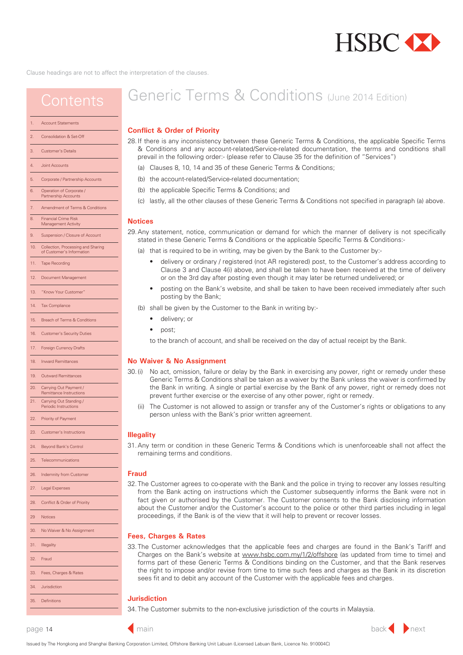

<span id="page-13-0"></span>

|                | <b>Account Statements</b> |
|----------------|---------------------------|
| $\overline{2}$ | Consolidation & Set-Off   |

- 3. [Customer's Details](#page-2-0)
- [4. Joint Accounts](#page-3-0)
- [5. Corporate / Partnership Accounts](#page-3-0)
- [6. Operation of Corporate /](#page-3-0) Partnership Accounts
- [7. Amendment of Terms & Conditions](#page-3-0)
- 8. Financial Crime Risk Management Activit
- [9. Suspension / Closure of Account](#page-5-0)
- [10. Collection, Processing and Sharing](#page-5-0)
- of Customer's Inform
- 11 [Tape Recording](#page-7-0)
- 12. [Document Management](#page-7-0)
- [13. "Know Your Customer"](#page-7-0)
- [14. Tax Compliance](#page-8-0)
- [15. Breach of Terms & Conditions](#page-8-0)
- 16. [Customer's Security Duties](#page-8-0)
- 17. [Foreign Currency Drafts](#page-9-0)
- 18. [Inward Remittances](#page-9-0)
- 19. [Outward Remittances](#page-10-0)
- [20. Carrying Out Payment /](#page-10-0)
- Remittance Instructions 21. Carrying Out Standing
- Periodic Instructions
- [22. Priority of Payment](#page-11-0)
- 23. [Customer's Instructions](#page-11-0)
- 24. [Beyond Bank's Control](#page-11-0)
- [25. Telecommunications](#page-11-0)
- [26. Indemnity from Customer](#page-12-0)
- 27. Legal Expenses
- 28. Conflict & Order of Priority 29 Notices 30. No Waiver & No Assignment
- 31. Illegality 32. Fraud 33. Fees, Charges & Rates
- 34. Jurisdiction

### 35. [Definitions](#page-14-0)

# Generic Terms & Conditions (May 2016 Edition)

### **Conflict & Order of Priority**

- 27. If there is any inconsistency between these Generic Terms & Conditions, the applicable Specific Terms & Conditions and any account-related/Service-related documentation, the terms and conditions shall prevail in the following order:- (please refer to Clause 35 for the definition of "Services")
	- (a) Clauses 8, 9, 10, 14 and 35 of these Generic Terms & Conditions;
	- (b) the account-related/Service-related documentation;
	- (c) the applicable Specific Terms & Conditions; and
	- (d) lastly, all the other clauses of these Generic Terms & Conditions not specified in paragraph (a) above.

#### **Notices**

- 28. Any statement, notice, communication or demand for which the manner of delivery is not specifically stated in these Generic Terms & Conditions or the applicable Specific Terms & Conditions:-
	- (a) that is required to be in writing, may be given by the Bank to the Customer at the Customer's address or facsimile number according to Clause 3 and Clause 4(i) above by:
		- (i) personal delivery and shall be taken to have been received at the time of delivery;
		- (ii) ordinary/registered post (either AR or non-AR registered) or courier and shall be taken to have been received on the 3rd day after posting or the 3rd day after despatch to the courier service provider, as the case may be, even though it may later be returned undelivered, or the Bank is not in receipt of the signed AR card or the Customer's acknowledgement of receipt;
		- (iii) facsimile and shall be taken to have been received at the time of transmission; or
		- (iv) posting on the Bank's website, and shall be taken to have been received immediately after such posting by the Bank.
	- (b) shall be given by the Customer to the Bank in writing by:-
		- delivery; or
		- post;
		- to the branch of account, and shall be received on the day of actual receipt by the Bank.

#### **No Waiver & No Assignment**

- Generic Terms & Conditions shall be taken as a waiver by the Bank unless the waiver is confirmed by the Bank in writing. A single or partial exercise by the Bank of any power, right or remedy does not prevent further exercise or the exercise of any other power, right or remedy. 29. (i) No act, omission, failure or delay by the Bank in exercising any power, right or remedy under these
	- (ii) The Customer is not allowed to assign or transfer any of the Customer's rights or obligations to any person unless with the Bank's prior written agreement.

#### **Illegality**

remaining terms and conditions. 30. Any term or condition in these Generic Terms & Conditions which is unenforceable shall not affect the

#### **Fraud**

from the Bank acting on instructions which the Customer subsequently informs the Bank were not in fact given or authorised by the Customer. The Customer consents to the Bank disclosing information about the Customer and/or the Customer's account to the police or other third parties including in legal proceedings, if the Bank is of the view that it will help to prevent or recover losses. 31. The Customer agrees to co-operate with the Bank and the police in trying to recover any losses resulting

#### **Fees, Charges & Rates**

Charges on the Bank's website at [www.hsbc.com.my/1/2/offshore \(](www.hsbc.com.my/1/2/offshore)as updated from time to time) and forms part of these Generic Terms & Conditions binding on the Customer, and that the Bank reserves the right to impose and/or revise from time to time such fees and charges as the Bank in its discretion sees fit and to debit any account of the Customer with the applicable fees and charges. 32. The Customer acknowledges that the applicable fees and charges are found in the Bank's Tariff and

### **Jurisdiction**

33. The Customer submits to the non-exclusive jurisdiction of the courts in Malaysia.